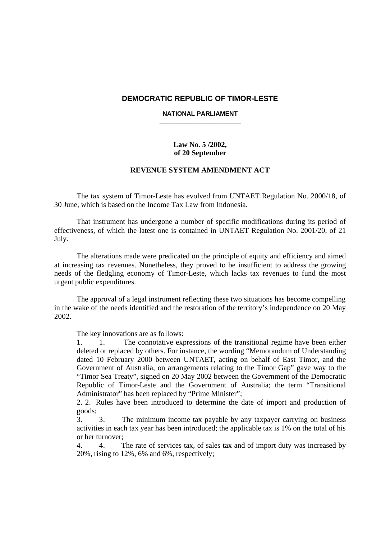### **DEMOCRATIC REPUBLIC OF TIMOR-LESTE**

#### **NATIONAL PARLIAMENT**  \_\_\_\_\_\_\_\_\_\_\_\_\_\_\_\_\_\_\_\_\_\_\_\_\_\_

## **Law No. 5 /2002, of 20 September**

### **REVENUE SYSTEM AMENDMENT ACT**

The tax system of Timor-Leste has evolved from UNTAET Regulation No. 2000/18, of 30 June, which is based on the Income Tax Law from Indonesia.

That instrument has undergone a number of specific modifications during its period of effectiveness, of which the latest one is contained in UNTAET Regulation No. 2001/20, of 21 July.

The alterations made were predicated on the principle of equity and efficiency and aimed at increasing tax revenues. Nonetheless, they proved to be insufficient to address the growing needs of the fledgling economy of Timor-Leste, which lacks tax revenues to fund the most urgent public expenditures.

The approval of a legal instrument reflecting these two situations has become compelling in the wake of the needs identified and the restoration of the territory's independence on 20 May 2002.

The key innovations are as follows:

1. 1. The connotative expressions of the transitional regime have been either deleted or replaced by others. For instance, the wording "Memorandum of Understanding dated 10 February 2000 between UNTAET, acting on behalf of East Timor, and the Government of Australia, on arrangements relating to the Timor Gap" gave way to the "Timor Sea Treaty", signed on 20 May 2002 between the Government of the Democratic Republic of Timor-Leste and the Government of Australia; the term "Transitional Administrator" has been replaced by "Prime Minister";

2. 2. Rules have been introduced to determine the date of import and production of goods;

3. 3. The minimum income tax payable by any taxpayer carrying on business activities in each tax year has been introduced; the applicable tax is 1% on the total of his or her turnover;

4. 4. The rate of services tax, of sales tax and of import duty was increased by 20%, rising to 12%, 6% and 6%, respectively;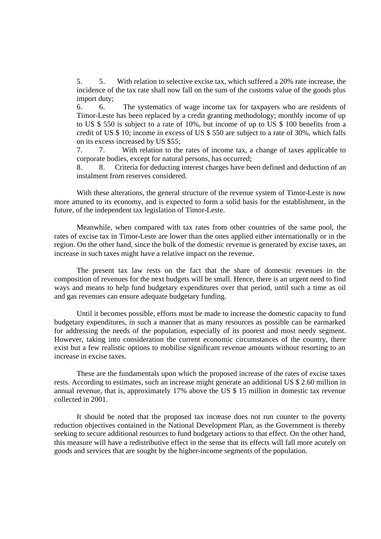5. 5. With relation to selective excise tax, which suffered a 20% rate increase, the incidence of the tax rate shall now fall on the sum of the customs value of the goods plus import duty;

6. 6. The systematics of wage income tax for taxpayers who are residents of Timor-Leste has been replaced by a credit granting methodology; monthly income of up to US \$ 550 is subject to a rate of 10%, but income of up to US \$ 100 benefits from a credit of US \$ 10; income in excess of US \$ 550 are subject to a rate of 30%, which falls on its excess increased by US \$55;

7. 7. With relation to the rates of income tax, a change of taxes applicable to corporate bodies, except for natural persons, has occurred;

8. 8. Criteria for deducting interest charges have been defined and deduction of an instalment from reserves considered.

With these alterations, the general structure of the revenue system of Timor-Leste is now more attuned to its economy, and is expected to form a solid basis for the establishment, in the future, of the independent tax legislation of Timor-Leste.

Meanwhile, when compared with tax rates from other countries of the same pool, the rates of excise tax in Timor-Leste are lower than the ones applied either internationally or in the region. On the other hand, since the bulk of the domestic revenue is generated by excise taxes, an increase in such taxes might have a relative impact on the revenue.

The present tax law rests on the fact that the share of domestic revenues in the composition of revenues for the next budgets will be small. Hence, there is an urgent need to find ways and means to help fund budgetary expenditures over that period, until such a time as oil and gas revenues can ensure adequate budgetary funding.

Until it becomes possible, efforts must be made to increase the domestic capacity to fund budgetary expenditures, in such a manner that as many resources as possible can be earmarked for addressing the needs of the population, especially of its poorest and most needy segment. However, taking into consideration the current economic circumstances of the country, there exist but a few realistic options to mobilise significant revenue amounts without resorting to an increase in excise taxes.

These are the fundamentals upon which the proposed increase of the rates of excise taxes rests. According to estimates, such an increase might generate an additional US \$ 2.60 million in annual revenue, that is, approximately 17% above the US \$ 15 million in domestic tax revenue collected in 2001.

It should be noted that the proposed tax increase does not run counter to the poverty reduction objectives contained in the National Development Plan, as the Government is thereby seeking to secure additional resources to fund budgetary actions to that effect. On the other hand, this measure will have a redistributive effect in the sense that its effects will fall more acutely on goods and services that are sought by the higher-income segments of the population.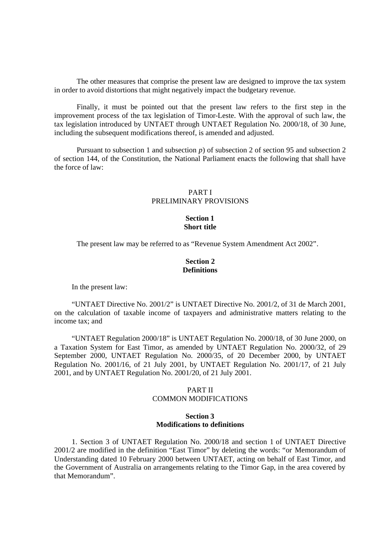The other measures that comprise the present law are designed to improve the tax system in order to avoid distortions that might negatively impact the budgetary revenue.

Finally, it must be pointed out that the present law refers to the first step in the improvement process of the tax legislation of Timor-Leste. With the approval of such law, the tax legislation introduced by UNTAET through UNTAET Regulation No. 2000/18, of 30 June, including the subsequent modifications thereof, is amended and adjusted.

Pursuant to subsection 1 and subsection *p*) of subsection 2 of section 95 and subsection 2 of section 144, of the Constitution, the National Parliament enacts the following that shall have the force of law:

### PART I PRELIMINARY PROVISIONS

### **Section 1 Short title**

The present law may be referred to as "Revenue System Amendment Act 2002".

### **Section 2 Definitions**

In the present law:

"UNTAET Directive No. 2001/2" is UNTAET Directive No. 2001/2, of 31 de March 2001, on the calculation of taxable income of taxpayers and administrative matters relating to the income tax; and

"UNTAET Regulation 2000/18" is UNTAET Regulation No. 2000/18, of 30 June 2000, on a Taxation System for East Timor, as amended by UNTAET Regulation No. 2000/32, of 29 September 2000, UNTAET Regulation No. 2000/35, of 20 December 2000, by UNTAET Regulation No. 2001/16, of 21 July 2001, by UNTAET Regulation No. 2001/17, of 21 July 2001, and by UNTAET Regulation No. 2001/20, of 21 July 2001.

## PART II COMMON MODIFICATIONS

### **Section 3 Modifications to definitions**

1. Section 3 of UNTAET Regulation No. 2000/18 and section 1 of UNTAET Directive 2001/2 are modified in the definition "East Timor" by deleting the words: "or Memorandum of Understanding dated 10 February 2000 between UNTAET, acting on behalf of East Timor, and the Government of Australia on arrangements relating to the Timor Gap, in the area covered by that Memorandum".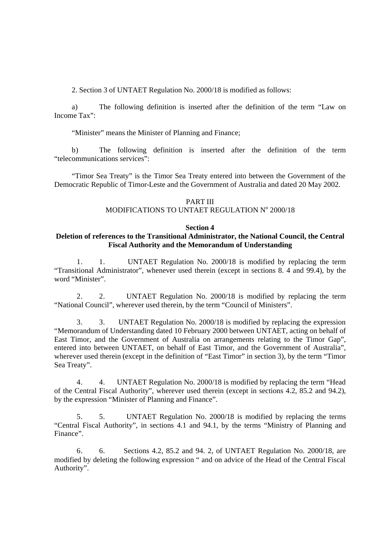2. Section 3 of UNTAET Regulation No. 2000/18 is modified as follows:

a) The following definition is inserted after the definition of the term "Law on Income Tax":

"Minister" means the Minister of Planning and Finance;

b) The following definition is inserted after the definition of the term "telecommunications services":

"Timor Sea Treaty" is the Timor Sea Treaty entered into between the Government of the Democratic Republic of Timor-Leste and the Government of Australia and dated 20 May 2002.

### PART III

# MODIFICATIONS TO UNTAET REGULATION Nº 2000/18

## **Section 4**

### **Deletion of references to the Transitional Administrator, the National Council, the Central Fiscal Authority and the Memorandum of Understanding**

1. 1. UNTAET Regulation No. 2000/18 is modified by replacing the term "Transitional Administrator", whenever used therein (except in sections 8. 4 and 99.4), by the word "Minister".

2. 2. UNTAET Regulation No. 2000/18 is modified by replacing the term "National Council", wherever used therein, by the term "Council of Ministers".

3. 3. UNTAET Regulation No. 2000/18 is modified by replacing the expression "Memorandum of Understanding dated 10 February 2000 between UNTAET, acting on behalf of East Timor, and the Government of Australia on arrangements relating to the Timor Gap", entered into between UNTAET, on behalf of East Timor, and the Government of Australia", wherever used therein (except in the definition of "East Timor" in section 3), by the term "Timor" Sea Treaty".

4. 4. UNTAET Regulation No. 2000/18 is modified by replacing the term "Head of the Central Fiscal Authority", wherever used therein (except in sections 4.2, 85.2 and 94.2), by the expression "Minister of Planning and Finance".

5. 5. UNTAET Regulation No. 2000/18 is modified by replacing the terms "Central Fiscal Authority", in sections 4.1 and 94.1, by the terms "Ministry of Planning and Finance".

6. 6. Sections 4.2, 85.2 and 94. 2, of UNTAET Regulation No. 2000/18, are modified by deleting the following expression " and on advice of the Head of the Central Fiscal Authority".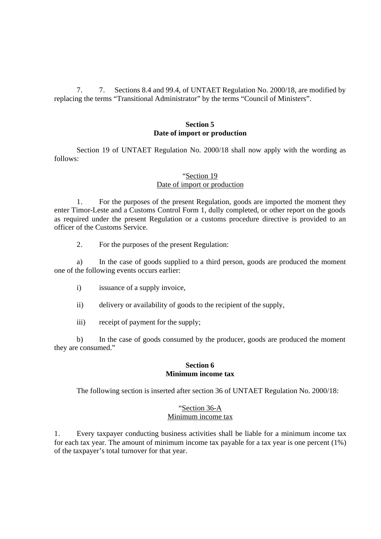7. 7. Sections 8.4 and 99.4, of UNTAET Regulation No. 2000/18, are modified by replacing the terms "Transitional Administrator" by the terms "Council of Ministers".

### **Section 5 Date of import or production**

Section 19 of UNTAET Regulation No. 2000/18 shall now apply with the wording as follows:

# "Section 19

## Date of import or production

1. For the purposes of the present Regulation, goods are imported the moment they enter Timor-Leste and a Customs Control Form 1, dully completed, or other report on the goods as required under the present Regulation or a customs procedure directive is provided to an officer of the Customs Service.

2. For the purposes of the present Regulation:

a) In the case of goods supplied to a third person, goods are produced the moment one of the following events occurs earlier:

- i) issuance of a supply invoice,
- ii) delivery or availability of goods to the recipient of the supply,
- iii) receipt of payment for the supply;

b) In the case of goods consumed by the producer, goods are produced the moment they are consumed."

### **Section 6 Minimum income tax**

The following section is inserted after section 36 of UNTAET Regulation No. 2000/18:

### "Section 36-A Minimum income tax

1. Every taxpayer conducting business activities shall be liable for a minimum income tax for each tax year. The amount of minimum income tax payable for a tax year is one percent (1%) of the taxpayer's total turnover for that year.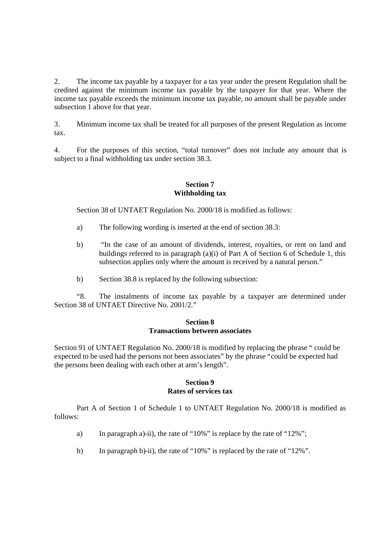2. The income tax payable by a taxpayer for a tax year under the present Regulation shall be credited against the minimum income tax payable by the taxpayer for that year. Where the income tax payable exceeds the minimum income tax payable, no amount shall be payable under subsection 1 above for that year.

3. Minimum income tax shall be treated for all purposes of the present Regulation as income tax.

4. For the purposes of this section, "total turnover" does not include any amount that is subject to a final withholding tax under section 38.3.

## **Section 7 Withholding tax**

Section 38 of UNTAET Regulation No. 2000/18 is modified as follows:

- a) The following wording is inserted at the end of section 38.3:
- b) "In the case of an amount of dividends, interest, royalties, or rent on land and buildings referred to in paragraph (a)(i) of Part A of Section 6 of Schedule 1, this subsection applies only where the amount is received by a natural person."
- b) Section 38.8 is replaced by the following subsection:

"8. The instalments of income tax payable by a taxpayer are determined under Section 38 of UNTAET Directive No. 2001/2."

## **Section 8 Transactions between associates**

Section 91 of UNTAET Regulation No. 2000/18 is modified by replacing the phrase " could be expected to be used had the persons not been associates" by the phrase "could be expected had the persons been dealing with each other at arm's length".

# **Section 9 Rates of services tax**

Part A of Section 1 of Schedule 1 to UNTAET Regulation No. 2000/18 is modified as follows:

- a) In paragraph a)-ii), the rate of "10%" is replace by the rate of "12%";
- b) In paragraph b)-ii), the rate of "10%" is replaced by the rate of "12%".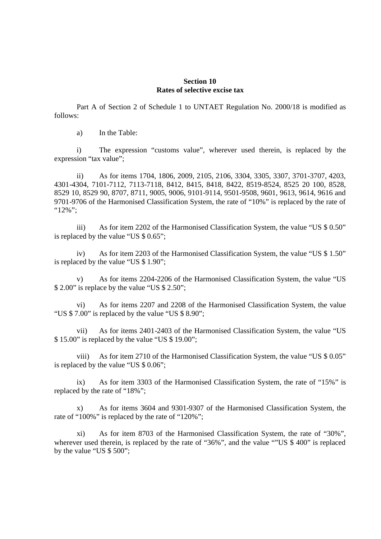### **Section 10 Rates of selective excise tax**

Part A of Section 2 of Schedule 1 to UNTAET Regulation No. 2000/18 is modified as follows:

a) In the Table:

i) The expression "customs value", wherever used therein, is replaced by the expression "tax value";

ii) As for items 1704, 1806, 2009, 2105, 2106, 3304, 3305, 3307, 3701-3707, 4203, 4301-4304, 7101-7112, 7113-7118, 8412, 8415, 8418, 8422, 8519-8524, 8525 20 100, 8528, 8529 10, 8529 90, 8707, 8711, 9005, 9006, 9101-9114, 9501-9508, 9601, 9613, 9614, 9616 and 9701-9706 of the Harmonised Classification System, the rate of "10%" is replaced by the rate of ":12%":

iii) As for item 2202 of the Harmonised Classification System, the value "US \$ 0.50" is replaced by the value "US \$ 0.65";

iv) As for item 2203 of the Harmonised Classification System, the value "US \$ 1.50" is replaced by the value "US \$ 1.90";

v) As for items 2204-2206 of the Harmonised Classification System, the value "US \$ 2.00" is replace by the value "US \$ 2.50";

vi) As for items 2207 and 2208 of the Harmonised Classification System, the value "US \$ 7.00" is replaced by the value "US \$ 8.90";

vii) As for items 2401-2403 of the Harmonised Classification System, the value "US \$ 15.00" is replaced by the value "US \$ 19.00";

viii) As for item 2710 of the Harmonised Classification System, the value "US \$ 0.05" is replaced by the value "US \$ 0.06";

ix) As for item 3303 of the Harmonised Classification System, the rate of "15%" is replaced by the rate of "18%";

x) As for items 3604 and 9301-9307 of the Harmonised Classification System, the rate of "100%" is replaced by the rate of "120%";

xi) As for item 8703 of the Harmonised Classification System, the rate of "30%", wherever used therein, is replaced by the rate of "36%", and the value ""US \$ 400" is replaced by the value "US \$ 500";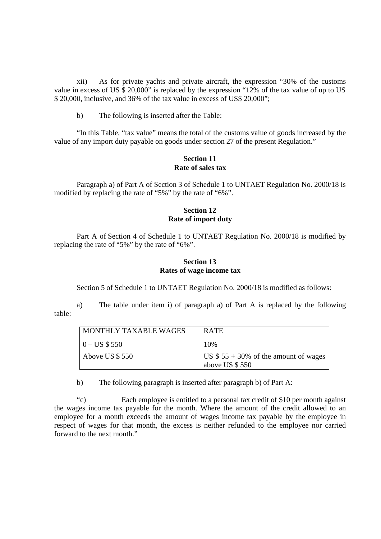xii) As for private yachts and private aircraft, the expression "30% of the customs value in excess of US  $\frac{20,000}{\text{N}}$  is replaced by the expression "12% of the tax value of up to US \$ 20,000, inclusive, and 36% of the tax value in excess of US\$ 20,000";

b) The following is inserted after the Table:

"In this Table, "tax value" means the total of the customs value of goods increased by the value of any import duty payable on goods under section 27 of the present Regulation."

## **Section 11 Rate of sales tax**

Paragraph a) of Part A of Section 3 of Schedule 1 to UNTAET Regulation No. 2000/18 is modified by replacing the rate of "5%" by the rate of "6%".

## **Section 12 Rate of import duty**

Part A of Section 4 of Schedule 1 to UNTAET Regulation No. 2000/18 is modified by replacing the rate of "5%" by the rate of "6%".

## **Section 13 Rates of wage income tax**

Section 5 of Schedule 1 to UNTAET Regulation No. 2000/18 is modified as follows:

a) The table under item i) of paragraph a) of Part A is replaced by the following table:

| MONTHLY TAXABLE WAGES | <b>RATE</b>                                              |
|-----------------------|----------------------------------------------------------|
| $0 - US $550$         | 10%                                                      |
| Above US \$550        | US $$55 + 30\%$ of the amount of wages<br>above US \$550 |

b) The following paragraph is inserted after paragraph b) of Part A:

"c) Each employee is entitled to a personal tax credit of \$10 per month against the wages income tax payable for the month. Where the amount of the credit allowed to an employee for a month exceeds the amount of wages income tax payable by the employee in respect of wages for that month, the excess is neither refunded to the employee nor carried forward to the next month."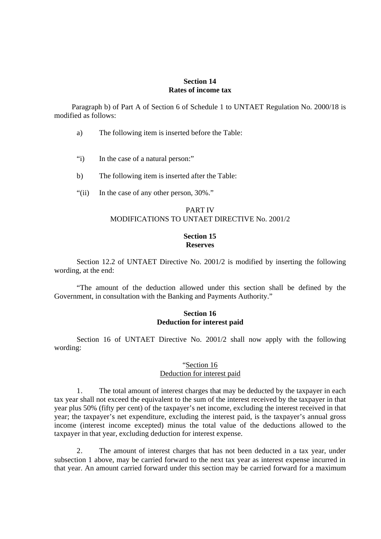### **Section 14 Rates of income tax**

Paragraph b) of Part A of Section 6 of Schedule 1 to UNTAET Regulation No. 2000/18 is modified as follows:

- a) The following item is inserted before the Table:
- "i) In the case of a natural person:"
- b) The following item is inserted after the Table:
- "(ii) In the case of any other person, 30%."

## PART IV MODIFICATIONS TO UNTAET DIRECTIVE No. 2001/2

### **Section 15 Reserves**

Section 12.2 of UNTAET Directive No. 2001/2 is modified by inserting the following wording, at the end:

"The amount of the deduction allowed under this section shall be defined by the Government, in consultation with the Banking and Payments Authority."

### **Section 16 Deduction for interest paid**

Section 16 of UNTAET Directive No. 2001/2 shall now apply with the following wording:

### "Section 16 Deduction for interest paid

1. The total amount of interest charges that may be deducted by the taxpayer in each tax year shall not exceed the equivalent to the sum of the interest received by the taxpayer in that year plus 50% (fifty per cent) of the taxpayer's net income, excluding the interest received in that year; the taxpayer's net expenditure, excluding the interest paid, is the taxpayer's annual gross income (interest income excepted) minus the total value of the deductions allowed to the taxpayer in that year, excluding deduction for interest expense.

2. The amount of interest charges that has not been deducted in a tax year, under subsection 1 above, may be carried forward to the next tax year as interest expense incurred in that year. An amount carried forward under this section may be carried forward for a maximum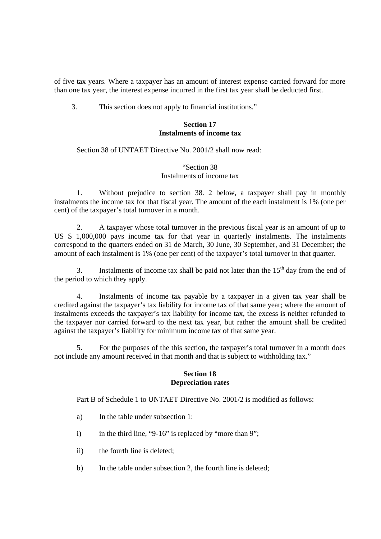of five tax years. Where a taxpayer has an amount of interest expense carried forward for more than one tax year, the interest expense incurred in the first tax year shall be deducted first.

3. This section does not apply to financial institutions."

### **Section 17 Instalments of income tax**

Section 38 of UNTAET Directive No. 2001/2 shall now read:

## "Section 38 Instalments of income tax

1. Without prejudice to section 38. 2 below, a taxpayer shall pay in monthly instalments the income tax for that fiscal year. The amount of the each instalment is 1% (one per cent) of the taxpayer's total turnover in a month.

2. A taxpayer whose total turnover in the previous fiscal year is an amount of up to US \$ 1,000,000 pays income tax for that year in quarterly instalments. The instalments correspond to the quarters ended on 31 de March, 30 June, 30 September, and 31 December; the amount of each instalment is 1% (one per cent) of the taxpayer's total turnover in that quarter.

3. Instalments of income tax shall be paid not later than the  $15<sup>th</sup>$  day from the end of the period to which they apply.

4. Instalments of income tax payable by a taxpayer in a given tax year shall be credited against the taxpayer's tax liability for income tax of that same year; where the amount of instalments exceeds the taxpayer's tax liability for income tax, the excess is neither refunded to the taxpayer nor carried forward to the next tax year, but rather the amount shall be credited against the taxpayer's liability for minimum income tax of that same year.

5. For the purposes of the this section, the taxpayer's total turnover in a month does not include any amount received in that month and that is subject to withholding tax."

### **Section 18 Depreciation rates**

Part B of Schedule 1 to UNTAET Directive No. 2001/2 is modified as follows:

- a) In the table under subsection 1:
- i) in the third line, "9-16" is replaced by "more than 9";
- ii) the fourth line is deleted;
- b) In the table under subsection 2, the fourth line is deleted;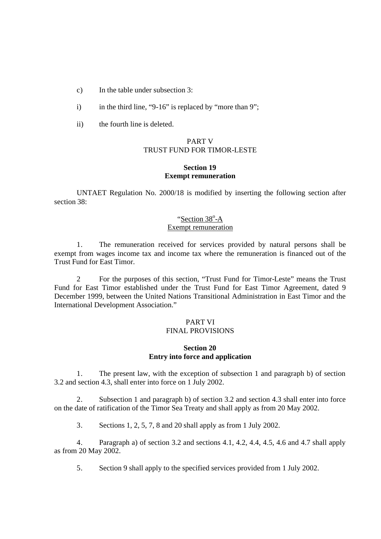c) In the table under subsection 3:

- i) in the third line, "9-16" is replaced by "more than 9";
- ii) the fourth line is deleted.

## PART V TRUST FUND FOR TIMOR-LESTE

### **Section 19 Exempt remuneration**

UNTAET Regulation No. 2000/18 is modified by inserting the following section after section 38:

## "Section 38°-A Exempt remuneration

1. The remuneration received for services provided by natural persons shall be exempt from wages income tax and income tax where the remuneration is financed out of the Trust Fund for East Timor.

2 For the purposes of this section, "Trust Fund for Timor-Leste" means the Trust Fund for East Timor established under the Trust Fund for East Timor Agreement, dated 9 December 1999, between the United Nations Transitional Administration in East Timor and the International Development Association."

#### PART VI FINAL PROVISIONS

## **Section 20 Entry into force and application**

1. The present law, with the exception of subsection 1 and paragraph b) of section 3.2 and section 4.3, shall enter into force on 1 July 2002.

2. Subsection 1 and paragraph b) of section 3.2 and section 4.3 shall enter into force on the date of ratification of the Timor Sea Treaty and shall apply as from 20 May 2002.

3. Sections 1, 2, 5, 7, 8 and 20 shall apply as from 1 July 2002.

4. Paragraph a) of section 3.2 and sections 4.1, 4.2, 4.4, 4.5, 4.6 and 4.7 shall apply as from 20 May 2002.

5. Section 9 shall apply to the specified services provided from 1 July 2002.